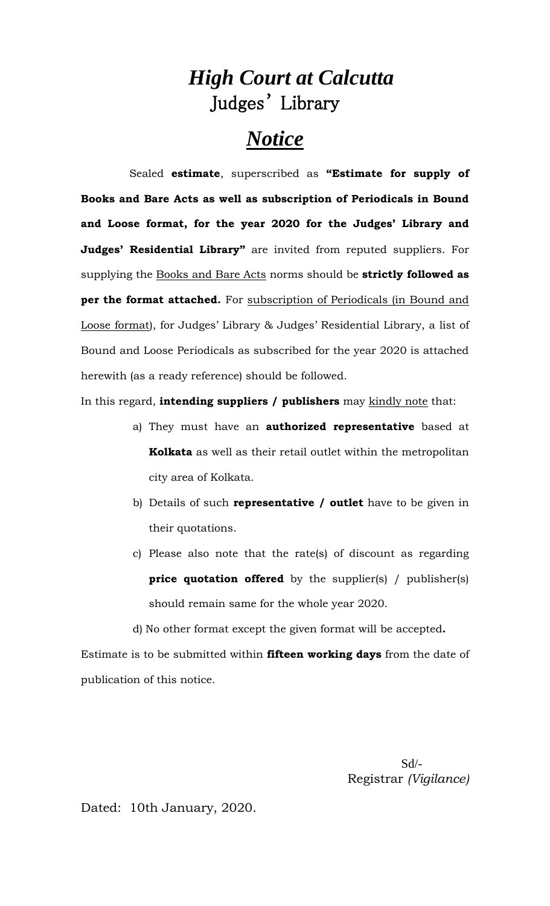## *High Court at Calcutta* Judges' Library

# *Notice*

Sealed **estimate**, superscribed as **"Estimate for supply of Books and Bare Acts as well as subscription of Periodicals in Bound and Loose format, for the year 2020 for the Judges' Library and Judges' Residential Library"** are invited from reputed suppliers. For supplying the Books and Bare Acts norms should be **strictly followed as per the format attached.** For subscription of Periodicals (in Bound and Loose format), for Judges' Library & Judges' Residential Library, a list of Bound and Loose Periodicals as subscribed for the year 2020 is attached herewith (as a ready reference) should be followed.

In this regard, **intending suppliers / publishers** may kindly note that:

- a) They must have an **authorized representative** based at **Kolkata** as well as their retail outlet within the metropolitan city area of Kolkata.
- b) Details of such **representative / outlet** have to be given in their quotations.
- c) Please also note that the rate(s) of discount as regarding **price quotation offered** by the supplier(s) / publisher(s) should remain same for the whole year 2020.

d) No other format except the given format will be accepted**.**

Estimate is to be submitted within **fifteen working days** from the date of publication of this notice.

> Sd/- Registrar *(Vigilance)*

Dated: 10th January, 2020.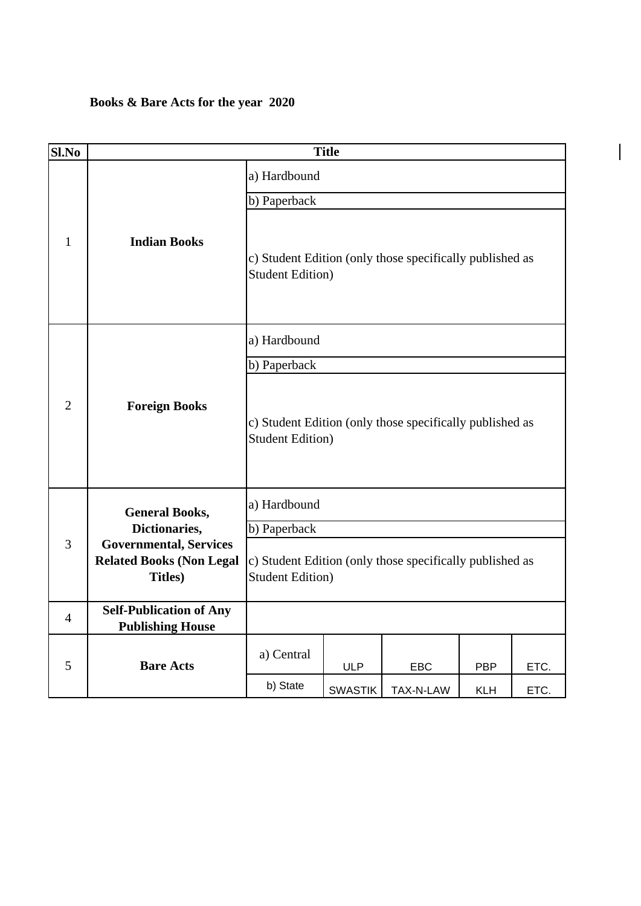#### **Books & Bare Acts for the year 2020**

| Sl.No          |                                                                                     |                                                                                      | <b>Title</b>   |           |            |      |
|----------------|-------------------------------------------------------------------------------------|--------------------------------------------------------------------------------------|----------------|-----------|------------|------|
| $\mathbf{1}$   |                                                                                     | a) Hardbound                                                                         |                |           |            |      |
|                |                                                                                     | b) Paperback                                                                         |                |           |            |      |
|                | <b>Indian Books</b>                                                                 | c) Student Edition (only those specifically published as<br><b>Student Edition</b> ) |                |           |            |      |
|                | <b>Foreign Books</b>                                                                | a) Hardbound                                                                         |                |           |            |      |
|                |                                                                                     | b) Paperback                                                                         |                |           |            |      |
| $\overline{2}$ |                                                                                     | c) Student Edition (only those specifically published as<br><b>Student Edition</b> ) |                |           |            |      |
|                | <b>General Books,</b>                                                               | a) Hardbound                                                                         |                |           |            |      |
|                | Dictionaries,                                                                       | b) Paperback                                                                         |                |           |            |      |
| 3              | <b>Governmental, Services</b><br><b>Related Books (Non Legal</b><br><b>Titles</b> ) | c) Student Edition (only those specifically published as<br><b>Student Edition)</b>  |                |           |            |      |
| $\overline{4}$ | <b>Self-Publication of Any</b><br><b>Publishing House</b>                           |                                                                                      |                |           |            |      |
| 5              | <b>Bare Acts</b>                                                                    | a) Central                                                                           | <b>ULP</b>     | EBC       | <b>PBP</b> | ETC. |
|                |                                                                                     | b) State                                                                             | <b>SWASTIK</b> | TAX-N-LAW | <b>KLH</b> | ETC. |

 $\vert$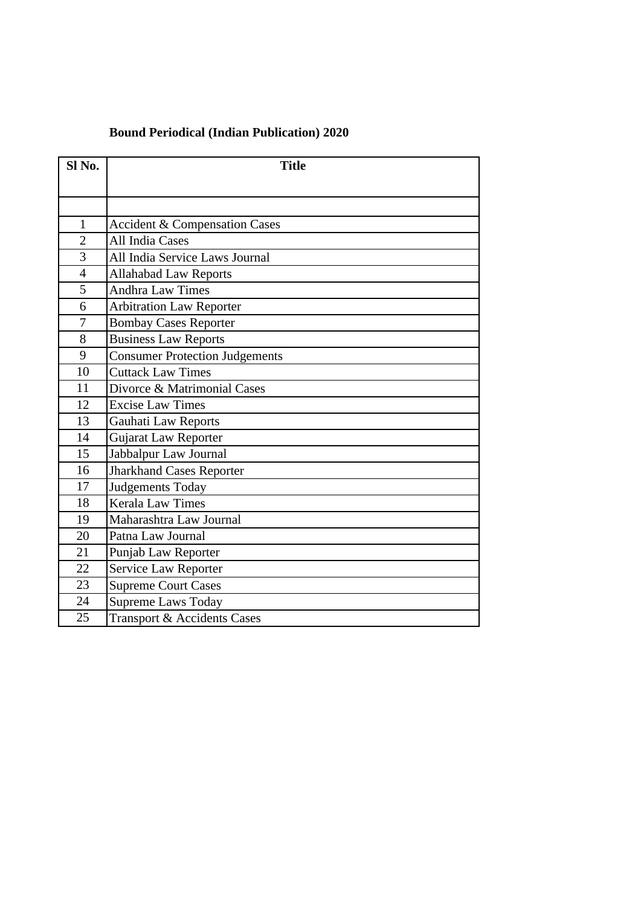#### **Bound Periodical (Indian Publication) 2020**

| Sl <sub>No.</sub> | <b>Title</b>                             |
|-------------------|------------------------------------------|
|                   |                                          |
|                   |                                          |
| 1                 | <b>Accident &amp; Compensation Cases</b> |
| $\overline{2}$    | All India Cases                          |
| 3                 | All India Service Laws Journal           |
| $\overline{4}$    | <b>Allahabad Law Reports</b>             |
| 5                 | <b>Andhra Law Times</b>                  |
| 6                 | <b>Arbitration Law Reporter</b>          |
| 7                 | <b>Bombay Cases Reporter</b>             |
| 8                 | <b>Business Law Reports</b>              |
| 9                 | <b>Consumer Protection Judgements</b>    |
| 10                | <b>Cuttack Law Times</b>                 |
| 11                | Divorce & Matrimonial Cases              |
| 12                | <b>Excise Law Times</b>                  |
| 13                | <b>Gauhati Law Reports</b>               |
| 14                | Gujarat Law Reporter                     |
| 15                | Jabbalpur Law Journal                    |
| 16                | <b>Jharkhand Cases Reporter</b>          |
| 17                | Judgements Today                         |
| 18                | <b>Kerala Law Times</b>                  |
| 19                | Maharashtra Law Journal                  |
| 20                | Patna Law Journal                        |
| 21                | Punjab Law Reporter                      |
| 22                | Service Law Reporter                     |
| 23                | <b>Supreme Court Cases</b>               |
| 24                | <b>Supreme Laws Today</b>                |
| 25                | Transport & Accidents Cases              |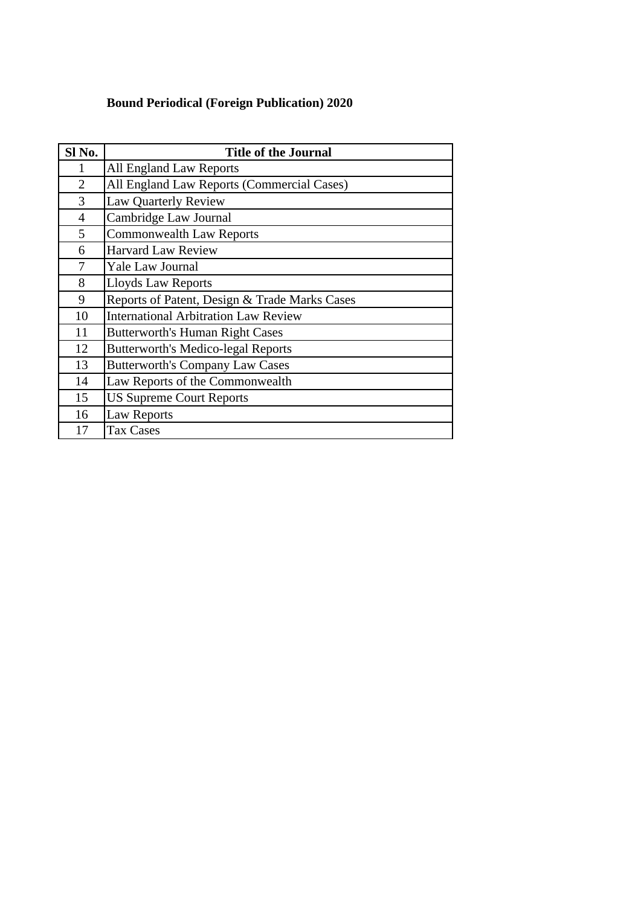### **Bound Periodical (Foreign Publication) 2020**

| Sl No.         | <b>Title of the Journal</b>                   |
|----------------|-----------------------------------------------|
| 1              | All England Law Reports                       |
| $\overline{2}$ | All England Law Reports (Commercial Cases)    |
| 3              | <b>Law Quarterly Review</b>                   |
| 4              | Cambridge Law Journal                         |
| 5              | Commonwealth Law Reports                      |
| 6              | <b>Harvard Law Review</b>                     |
| 7              | Yale Law Journal                              |
| 8              | <b>Lloyds Law Reports</b>                     |
| 9              | Reports of Patent, Design & Trade Marks Cases |
| 10             | <b>International Arbitration Law Review</b>   |
| 11             | <b>Butterworth's Human Right Cases</b>        |
| 12             | <b>Butterworth's Medico-legal Reports</b>     |
| 13             | <b>Butterworth's Company Law Cases</b>        |
| 14             | Law Reports of the Commonwealth               |
| 15             | <b>US Supreme Court Reports</b>               |
| 16             | <b>Law Reports</b>                            |
| 17             | <b>Tax Cases</b>                              |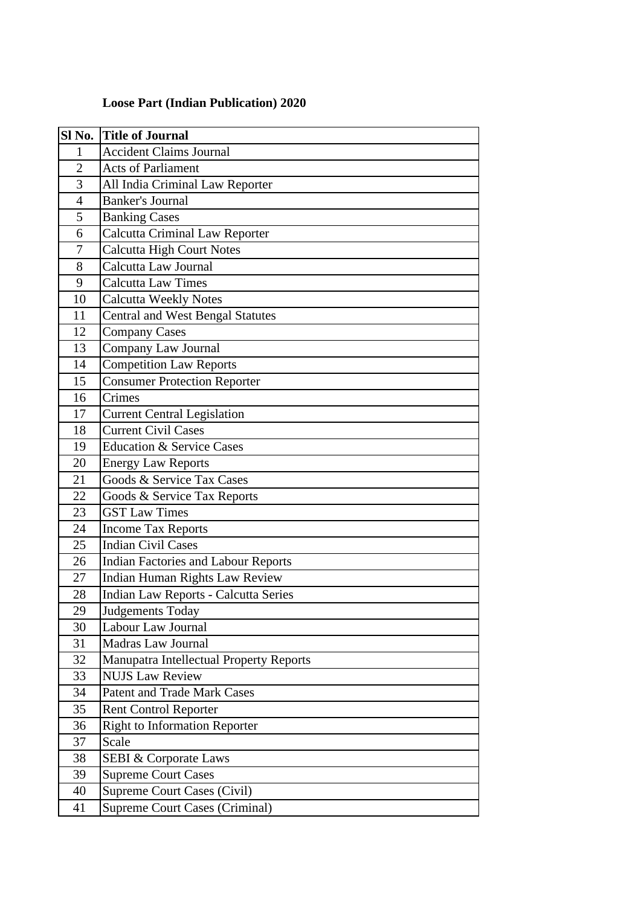| Sl No.         | <b>Title of Journal</b>                     |  |
|----------------|---------------------------------------------|--|
| 1              | <b>Accident Claims Journal</b>              |  |
| $\overline{2}$ | <b>Acts of Parliament</b>                   |  |
| 3              | All India Criminal Law Reporter             |  |
| $\overline{4}$ | <b>Banker's Journal</b>                     |  |
| 5              | <b>Banking Cases</b>                        |  |
| 6              | <b>Calcutta Criminal Law Reporter</b>       |  |
| 7              | <b>Calcutta High Court Notes</b>            |  |
| 8              | Calcutta Law Journal                        |  |
| 9              | <b>Calcutta Law Times</b>                   |  |
| 10             | <b>Calcutta Weekly Notes</b>                |  |
| 11             | <b>Central and West Bengal Statutes</b>     |  |
| 12             | <b>Company Cases</b>                        |  |
| 13             | Company Law Journal                         |  |
| 14             | Competition Law Reports                     |  |
| 15             | <b>Consumer Protection Reporter</b>         |  |
| 16             | $\overline{\text{C}}$ rimes                 |  |
| 17             | <b>Current Central Legislation</b>          |  |
| 18             | <b>Current Civil Cases</b>                  |  |
| 19             | <b>Education &amp; Service Cases</b>        |  |
| 20             | <b>Energy Law Reports</b>                   |  |
| 21             | Goods & Service Tax Cases                   |  |
| 22             | Goods & Service Tax Reports                 |  |
| 23             | <b>GST Law Times</b>                        |  |
| 24             | <b>Income Tax Reports</b>                   |  |
| 25             | <b>Indian Civil Cases</b>                   |  |
| 26             | <b>Indian Factories and Labour Reports</b>  |  |
| 27             | Indian Human Rights Law Review              |  |
| 28             | <b>Indian Law Reports - Calcutta Series</b> |  |
| 29             | Judgements Today                            |  |
| 30             | Labour Law Journal                          |  |
| 31             | Madras Law Journal                          |  |
| 32             | Manupatra Intellectual Property Reports     |  |
| 33             | <b>NUJS Law Review</b>                      |  |
| 34             | <b>Patent and Trade Mark Cases</b>          |  |
| 35             | <b>Rent Control Reporter</b>                |  |
| 36             | <b>Right to Information Reporter</b>        |  |
| 37             | Scale                                       |  |
| 38             | <b>SEBI &amp; Corporate Laws</b>            |  |
| 39             | <b>Supreme Court Cases</b>                  |  |
| 40             | Supreme Court Cases (Civil)                 |  |
| 41             | Supreme Court Cases (Criminal)              |  |

#### **Loose Part (Indian Publication) 2020**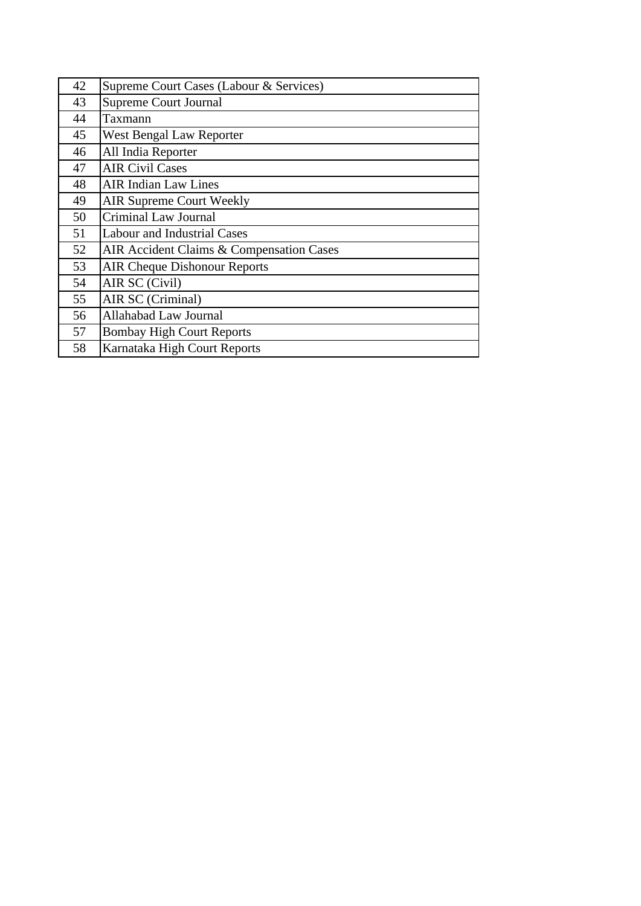| 42 | Supreme Court Cases (Labour & Services)  |
|----|------------------------------------------|
| 43 | Supreme Court Journal                    |
| 44 | Taxmann                                  |
| 45 | West Bengal Law Reporter                 |
| 46 | All India Reporter                       |
| 47 | <b>AIR Civil Cases</b>                   |
| 48 | <b>AIR Indian Law Lines</b>              |
| 49 | <b>AIR Supreme Court Weekly</b>          |
| 50 | Criminal Law Journal                     |
| 51 | <b>Labour and Industrial Cases</b>       |
| 52 | AIR Accident Claims & Compensation Cases |
| 53 | <b>AIR Cheque Dishonour Reports</b>      |
| 54 | AIR SC (Civil)                           |
| 55 | AIR SC (Criminal)                        |
| 56 | Allahabad Law Journal                    |
| 57 | <b>Bombay High Court Reports</b>         |
| 58 | Karnataka High Court Reports             |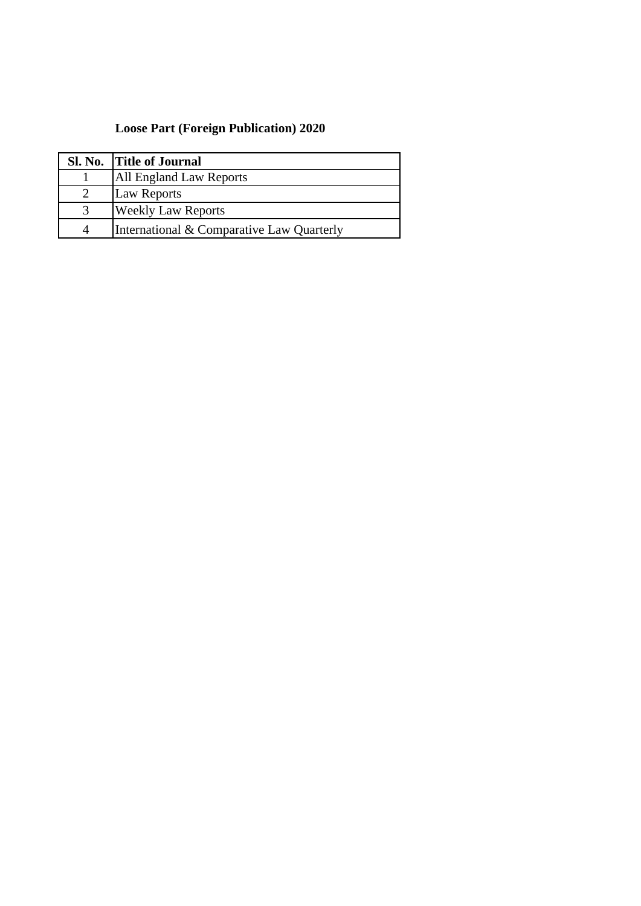#### **Loose Part (Foreign Publication) 2020**

| Sl. No. Title of Journal                  |
|-------------------------------------------|
| All England Law Reports                   |
| <b>Law Reports</b>                        |
| <b>Weekly Law Reports</b>                 |
| International & Comparative Law Quarterly |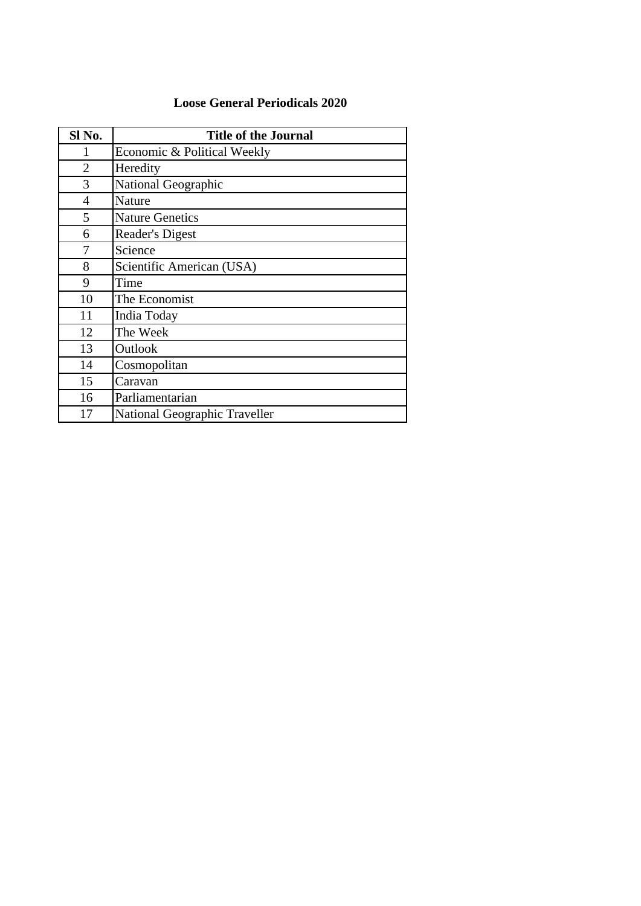#### **Loose General Periodicals 2020**

| Sl No. | <b>Title of the Journal</b>   |
|--------|-------------------------------|
| 1      | Economic & Political Weekly   |
| 2      | Heredity                      |
| 3      | National Geographic           |
| 4      | Nature                        |
| 5      | <b>Nature Genetics</b>        |
| 6      | Reader's Digest               |
| 7      | Science                       |
| 8      | Scientific American (USA)     |
| 9      | Time                          |
| 10     | The Economist                 |
| 11     | India Today                   |
| 12     | The Week                      |
| 13     | Outlook                       |
| 14     | Cosmopolitan                  |
| 15     | Caravan                       |
| 16     | Parliamentarian               |
| 17     | National Geographic Traveller |